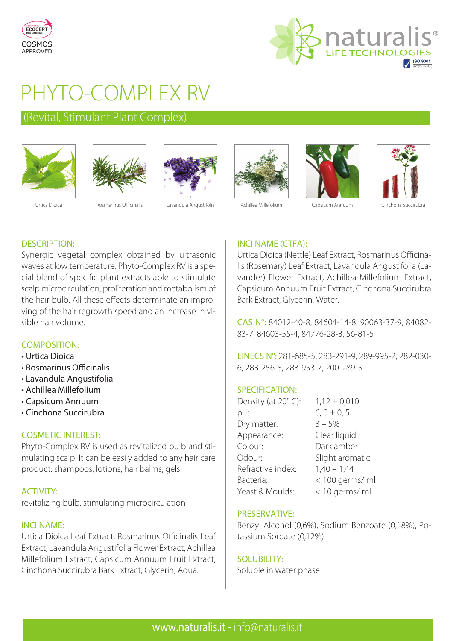



# PHYTO-COMPLEX RV

# (Revital, Stimulant Plant Complex)













# INCI NAME (CTFA):

Urtica Dioica (Nettle) Leaf Extract, Rosmarinus Officinalis (Rosemary) Leaf Extract, Lavandula Angustifolia (Lavander) Flower Extract, Achillea Millefolium Extract, Capsicum Annuum Fruit Extract, Cinchona Succirubra Bark Extract, Glycerin, Water.

CAS N°: 84012-40-8, 84604-14-8, 90063-37-9, 84082- 83-7, 84603-55-4, 84776-28-3, 56-81-5

EINECS N°: 281-685-5, 283-291-9, 289-995-2, 282-030- 6, 283-256-8, 283-953-7, 200-289-5

# SPECIFICATION:

| Density (at 20°C): | $1,12 \pm 0,010$ |
|--------------------|------------------|
| pH:                | $6, 0 \pm 0, 5$  |
| Dry matter:        | $3 - 5%$         |
| Appearance:        | Clear liquid     |
| Colour:            | Dark amber       |
| Odour:             | Slight aromatic  |
| Refractive index:  | $1,40 - 1,44$    |
| Bacteria:          | < 100 germs/ ml  |
| Yeast & Moulds:    | < 10 germs/ ml   |

# PRESERVATIVE:

Benzyl Alcohol (0,6%), Sodium Benzoate (0,18%), Potassium Sorbate (0,12%)

# SOLUBILITY:

Soluble in water phase

# DESCRIPTION:

Synergic vegetal complex obtained by ultrasonic waves at low temperature. Phyto-Complex RV is a special blend of specific plant extracts able to stimulate scalp microcirculation, proliferation and metabolism of the hair bulb. All these effects determinate an improving of the hair regrowth speed and an increase in visible hair volume.

# COMPOSITION:

- Urtica Dioica
- Rosmarinus Officinalis
- Lavandula Angustifolia
- Achillea Millefolium
- Capsicum Annuum
- Cinchona Succirubra

# COSMETIC INTEREST:

Phyto-Complex RV is used as revitalized bulb and stimulating scalp. It can be easily added to any hair care product: shampoos, lotions, hair balms, gels

# ACTIVITY:

revitalizing bulb, stimulating microcirculation

#### INCI NAME:

Urtica Dioica Leaf Extract, Rosmarinus Officinalis Leaf Extract, Lavandula Angustifolia Flower Extract, Achillea Millefolium Extract, Capsicum Annuum Fruit Extract, Cinchona Succirubra Bark Extract, Glycerin, Aqua.